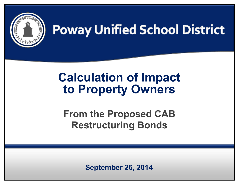

# **Poway Unified School District**

## **Calculation of Impact to Property Owners**

**From the Proposed CAB Restructuring Bonds**

*Jurupa Unified School District │ 2012 General Obligation Bond Election* **September 26, 2014**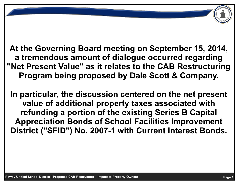**At the Governing Board meeting on September 15, 2014, a tremendous amount of dialogue occurred regarding "Net Present Value" as it relates to the CAB Restructuring Program being proposed by Dale Scott & Company.**

**In particular, the discussion centered on the net present value of additional property taxes associated with refunding a portion of the existing Series B Capital Appreciation Bonds of School Facilities Improvement District ("SFID") No. 2007-1 with Current Interest Bonds.**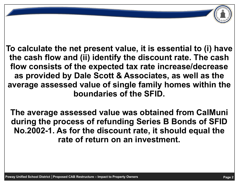**To calculate the net present value, it is essential to (i) have the cash flow and (ii) identify the discount rate. The cash flow consists of the expected tax rate increase/decrease as provided by Dale Scott & Associates, as well as the average assessed value of single family homes within the boundaries of the SFID.** 

**The average assessed value was obtained from CalMuni during the process of refunding Series B Bonds of SFID No.2002-1. As for the discount rate, it should equal the rate of return on an investment.**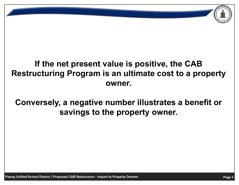### **If the net present value is positive, the CAB Restructuring Program is an ultimate cost to a property owner.**

**Conversely, a negative number illustrates a benefit or savings to the property owner.**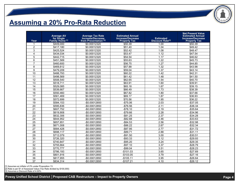### **Assuming a 20% Pro-Rata Reduction**

| Year            | <b>Average AV<br/>for Single<br/>Family Home</b> <sup>[1]</sup> | <b>Average Tax Rate</b><br>Increase/Decrease<br>from Presentation <sup>[2]</sup> | <b>Estimated Annual</b><br><b>Increase/Decrease</b><br><b>Property Tax</b> | <b>Estimated</b><br><b>Discount Rate<sup>[3]</sup></b> | <b>Net Present Value</b><br><b>Estimated Annual</b><br><b>Increase/Decrease</b><br><b>Property Tax</b> |
|-----------------|-----------------------------------------------------------------|----------------------------------------------------------------------------------|----------------------------------------------------------------------------|--------------------------------------------------------|--------------------------------------------------------------------------------------------------------|
| 1               | \$409,000                                                       | \$0.00012320                                                                     | \$50.39                                                                    | 1.00                                                   | \$50.39                                                                                                |
| $\overline{c}$  | \$417,180                                                       | \$0.00012320                                                                     | \$51.40                                                                    | 1.04                                                   | \$49.42                                                                                                |
| 3               | \$425,524                                                       | \$0.00012320                                                                     | \$52.42                                                                    | 1.08                                                   | \$48.47                                                                                                |
| 4               | \$434,034                                                       | \$0.00012320                                                                     | \$53.47                                                                    | 1.12                                                   | \$47.54                                                                                                |
| 5               | \$442.715                                                       | \$0.00012320                                                                     | \$54.54                                                                    | 1.17                                                   | \$46.62                                                                                                |
| 6               | \$451,569                                                       | \$0.00012320                                                                     | \$55.63                                                                    | 1.22                                                   | \$45.73                                                                                                |
| $\overline{7}$  | \$460,600                                                       | \$0.00012320                                                                     | \$56.75                                                                    | 1.27                                                   | \$44.85                                                                                                |
| 8               | \$469,812                                                       | \$0.00012320                                                                     | \$57.88                                                                    | 1.32                                                   | \$43.98                                                                                                |
| 9               | \$479,209                                                       | \$0.00012320                                                                     | \$59.04                                                                    | 1.37                                                   | \$43.14                                                                                                |
| 10              | \$488,793                                                       | \$0.00012320                                                                     | \$60.22                                                                    | 1.42                                                   | \$42.31                                                                                                |
| 11              | \$498,569                                                       | \$0.00012320                                                                     | \$61.42                                                                    | 1.48                                                   | \$41.50                                                                                                |
| 12              | \$508,540                                                       | \$0.00012320                                                                     | \$62.65                                                                    | 1.54                                                   | \$40.70                                                                                                |
| 13              | \$518,711                                                       | \$0.00012320                                                                     | \$63.91                                                                    | 1.60                                                   | \$39.91                                                                                                |
| 14              | \$529,085                                                       | \$0.00012320                                                                     | \$65.18                                                                    | 1.67                                                   | \$39.15                                                                                                |
| 15              | \$539,667                                                       | \$0.00012320                                                                     | \$66.49                                                                    | 1.73                                                   | \$38.39                                                                                                |
| 16              | \$550,460                                                       | \$0.00012320                                                                     | \$67.82                                                                    | 1.80                                                   | \$37.66                                                                                                |
| 17              | \$561,469                                                       | \$0.00012320                                                                     | \$69.17                                                                    | 1.87                                                   | \$36.93                                                                                                |
| 18              | \$572,699                                                       | \$0.00012320                                                                     | \$70.56                                                                    | 1.95                                                   | \$36.22                                                                                                |
| 19              | \$584,153                                                       | $-$0.00012850$                                                                   | $-$75.06$                                                                  | 2.03                                                   | $-$37.05$                                                                                              |
| 20              | \$595,836                                                       | $-$0.00012850$                                                                   | $-$76.56$                                                                  | 2.11                                                   | $-$36.34$                                                                                              |
| $\overline{21}$ | \$607,752                                                       | -\$0.00012850                                                                    | $-$78.10$                                                                  | 2.19                                                   | $-$35.64$                                                                                              |
| 22              | \$619,908                                                       | -\$0.00012850                                                                    | $-$79.66$                                                                  | 2.28                                                   | $-$34.96$                                                                                              |
| 23              | \$632,306                                                       | -\$0.00012850                                                                    | $-$ \$81.25                                                                | 2.37                                                   | $-$34.28$                                                                                              |
| 24              | \$644,952                                                       | -\$0.00012850                                                                    | $-$ \$82.88                                                                | 2.46                                                   | $-$33.63$                                                                                              |
| 25              | \$657,851                                                       | -\$0.00012850                                                                    | $-$ \$84.53                                                                | 2.56                                                   | $-$32.98$                                                                                              |
| 26              | \$671,008                                                       | -\$0.00012850                                                                    | $-$ \$86.22                                                                | 2.67                                                   | $-$32.34$                                                                                              |
| 27              | \$684,428                                                       | -\$0.00012850                                                                    | $-$ \$87.95                                                                | 2.77                                                   | $-$ \$31.72                                                                                            |
| 28              | \$698,117                                                       | -\$0.00012850                                                                    | $-$89.71$                                                                  | 2.88                                                   | $-$31.11$                                                                                              |
| 29              | \$712,079                                                       | -\$0.00012850                                                                    | $-$91.50$                                                                  | 3.00                                                   | $-$30.51$                                                                                              |
| 30              | \$726,320                                                       | -\$0.00012850                                                                    | $-$93.33$                                                                  | 3.12                                                   | $-$29.93$                                                                                              |
| 31              | \$740,847                                                       | -\$0.00012850                                                                    | $-$95.20$                                                                  | 3.24                                                   | $-$29.35$                                                                                              |
| 32              | \$755.664                                                       | $-$0.00012850$                                                                   | $-$97.10$                                                                  | 3.37                                                   | $-$28.79$                                                                                              |
| 33              | \$770,777                                                       | -\$0.00012850                                                                    | $-$99.04$                                                                  | 3.51                                                   | $-$28.23$                                                                                              |
| 34              | \$786,193                                                       | -\$0.00012850                                                                    | $-$101.03$                                                                 | 3.65                                                   | $-$27.69$                                                                                              |
| 35              | \$801,916                                                       | -\$0.00012850                                                                    | $-$103.05$                                                                 | 3.79                                                   | $-$27.16$                                                                                              |
| 36              | \$817,955                                                       | -\$0.00012850                                                                    | $-$105.11$                                                                 | 3.95                                                   | $-$26.64$                                                                                              |
| 37              | \$834,314                                                       | -\$0.00012850                                                                    | $-$107.21$                                                                 | 4.10                                                   | $-$26.12$                                                                                              |

[1] Assumes an inflator of 2% under Proposition 13.

*Jurupa Unified School District │ 2012 General Obligation Bond Election* [3] Assumes a Discount Rate of 4.00%.[2] Rate is per \$1 of Assessed Value (Tax Rate divided by \$100,000)

**Poway Unified School District │Proposed CAB Restructure – Impact to Property Owners** *Page 4* **Page 4**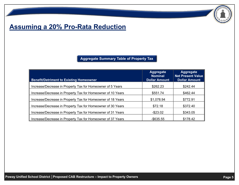#### **Assuming a 20% Pro-Rata Reduction**

**Aggregate Summary Table of Property Tax** 

| <b>Benefit/Detriment to Existing Homeowner</b>              | <b>Aggregate</b><br><b>Nominal</b><br><b>Dollar Amount</b> | <b>Aggregate</b><br><b>Net Present Value</b><br><b>Dollar Amount</b> |
|-------------------------------------------------------------|------------------------------------------------------------|----------------------------------------------------------------------|
| Increase/Decrease in Property Tax for Homeowner of 5 Years  | \$262.23                                                   | \$242.44                                                             |
| Increase/Decrease in Property Tax for Homeowner of 10 Years | \$551.74                                                   | \$462.44                                                             |
| Increase/Decrease in Property Tax for Homeowner of 18 Years | \$1,078.94                                                 | \$772.91                                                             |
| Increase/Decrease in Property Tax for Homeowner of 30 Years | \$72.18                                                    | \$372.40                                                             |
| Increase/Decrease in Property Tax for Homeowner of 31 Years | $-$ \$23.02                                                | \$343.05                                                             |
| Increase/Decrease in Property Tax for Homeowner of 37 Years | $-$ \$635.55                                               | \$178.42                                                             |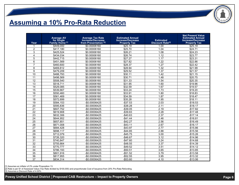### **Assuming a 10% Pro-Rata Reduction**

| Year            | <b>Average AV</b><br>for Single<br>Family Home <sup>[1]</sup> | <b>Average Tax Rate</b><br>Increase/Decrease<br>from Presentation <sup>[2]</sup> | <b>Estimated Annual</b><br><b>Increase/Decrease</b><br><b>Property Tax</b> | <b>Estimated</b><br><b>Discount Rate<sup>[3]</sup></b> | <b>Net Present Value</b><br><b>Estimated Annual</b><br><b>Increase/Decrease</b><br><b>Property Tax</b> |
|-----------------|---------------------------------------------------------------|----------------------------------------------------------------------------------|----------------------------------------------------------------------------|--------------------------------------------------------|--------------------------------------------------------------------------------------------------------|
| 1               | \$409,000                                                     | \$0.00006160                                                                     | \$25.19                                                                    | 1.00                                                   | \$25.19                                                                                                |
| $\overline{2}$  | \$417,180                                                     | \$0.00006160                                                                     | \$25.70                                                                    | 1.04                                                   | \$24.71                                                                                                |
| 3               | \$425,524                                                     | \$0.00006160                                                                     | \$26.21                                                                    | 1.08                                                   | \$24.23                                                                                                |
| $\overline{4}$  | \$434,034                                                     | \$0.00006160                                                                     | \$26.74                                                                    | 1.12                                                   | \$23.77                                                                                                |
| 5               | \$442,715                                                     | \$0.00006160                                                                     | \$27.27                                                                    | 1.17                                                   | \$23.31                                                                                                |
| 6               | \$451.569                                                     | \$0.00006160                                                                     | \$27.82                                                                    | 1.22                                                   | \$22.86                                                                                                |
| $\overline{7}$  | \$460,600                                                     | \$0.00006160                                                                     | \$28.37                                                                    | 1.27                                                   | \$22.42                                                                                                |
| 8               | \$469.812                                                     | \$0.00006160                                                                     | \$28.94                                                                    | 1.32                                                   | \$21.99                                                                                                |
| 9               | \$479,209                                                     | \$0.00006160                                                                     | \$29.52                                                                    | 1.37                                                   | \$21.57                                                                                                |
| 10              | \$488,793                                                     | \$0.00006160                                                                     | \$30.11                                                                    | 1.42                                                   | \$21.15                                                                                                |
| 11              | \$498,569                                                     | \$0.00006160                                                                     | $\overline{$30.71}$                                                        | 1.48                                                   | \$20.75                                                                                                |
| $\overline{12}$ | \$508,540                                                     | \$0.00006160                                                                     | $\overline{$}31.33$                                                        | 1.54                                                   | \$20.35                                                                                                |
| 13              | \$518,711                                                     | \$0.00006160                                                                     | \$31.95                                                                    | 1.60                                                   | \$19.96                                                                                                |
| 14              | \$529,085                                                     | \$0.00006160                                                                     | \$32.59                                                                    | 1.67                                                   | \$19.57                                                                                                |
| 15              | \$539,667                                                     | \$0.00006160                                                                     | \$33.24                                                                    | 1.73                                                   | \$19.20                                                                                                |
| 16              | \$550,460                                                     | \$0.00006160                                                                     | \$33.91                                                                    | 1.80                                                   | \$18.83                                                                                                |
| 17              | \$561,469                                                     | \$0.00006160                                                                     | \$34.59                                                                    | 1.87                                                   | \$18.47                                                                                                |
| 18              | \$572.699                                                     | \$0.00006160                                                                     | \$35.28                                                                    | 1.95                                                   | \$18.11                                                                                                |
| 19              | \$584,153                                                     | $-$0.00006425$                                                                   | $-$37.53$                                                                  | 2.03                                                   | $-$18.53$                                                                                              |
| 20              | \$595,836                                                     | -\$0.00006425                                                                    | $-$38.28$                                                                  | 2.11                                                   | $-$18.17$                                                                                              |
| 21              | \$607,752                                                     | $-$0.00006425$                                                                   | $-$39.05$                                                                  | 2.19                                                   | $-$17.82$                                                                                              |
| $\overline{22}$ | \$619,908                                                     | -\$0.00006425                                                                    | $-$39.83$                                                                  | 2.28                                                   | $-$17.48$                                                                                              |
| 23              | \$632.306                                                     | $-$0.00006425$                                                                   | $-$40.63$                                                                  | 2.37                                                   | $-$17.14$                                                                                              |
| 24              | \$644,952                                                     | -\$0.00006425                                                                    | $-$ \$41.44                                                                | 2.46                                                   | $-$16.81$                                                                                              |
| 25              | \$657.851                                                     | -\$0.00006425                                                                    | $-$42.27$                                                                  | 2.56                                                   | $-$16.49$                                                                                              |
| 26              | \$671.008                                                     | -\$0.00006425                                                                    | $-$43.11$                                                                  | 2.67                                                   | $-$16.17$                                                                                              |
| 27              | \$684,428                                                     | $-$0.00006425$                                                                   | $-$43.97$                                                                  | 2.77                                                   | $-$15.86$                                                                                              |
| $\overline{28}$ | \$698,117                                                     | $-$0.00006425$                                                                   | $-$44.85$                                                                  | 2.88                                                   | $-$15.56$                                                                                              |
| 29              | \$712,079                                                     | -\$0.00006425                                                                    | $-$45.75$                                                                  | 3.00                                                   | $-$15.26$                                                                                              |
| 30              | \$726,320                                                     | $-$0.00006425$                                                                   | $-$46.67$                                                                  | 3.12                                                   | $-$14.96$                                                                                              |
| $\overline{31}$ | \$740.847                                                     | $-$0.00006425$                                                                   | $-$47.60$                                                                  | 3.24                                                   | $-$14.68$                                                                                              |
| 32              | \$755,664                                                     | -\$0.00006425                                                                    | $-$48.55$                                                                  | 3.37                                                   | $-$14.39$                                                                                              |
| $\overline{33}$ | \$770,777                                                     | $-$0.00006425$                                                                   | $-$49.52$                                                                  | 3.51                                                   | $-$14.12$                                                                                              |
| $\overline{34}$ | \$786,193                                                     | $-$0.00006425$                                                                   | $-$50.51$                                                                  | 3.65                                                   | $-$13.85$                                                                                              |
| $\overline{35}$ | \$801,916                                                     | -\$0.00006425                                                                    | $-$51.52$                                                                  | 3.79                                                   | $-$13.58$                                                                                              |
| 36              | \$817,955                                                     | -\$0.00006425                                                                    | $-$52.55$                                                                  | 3.95                                                   | $-$13.32$                                                                                              |
| $\overline{37}$ | \$834,314                                                     | $-$0.00006425$                                                                   | $-$53.60$                                                                  | 4.10                                                   | $-$13.06$                                                                                              |

[1] Assumes an inflator of 2% under Proposition 13.

*Jurupa Is per \$1 of Assessed Value* (1*ax Rate divided by \$100,000)* and proportionate Oost of Issuarity 3] Assumes a Discount Rate of 4.00%. [2] Rate is per \$1 of Assessed Value (Tax Rate divided by \$100,000) and proportionate Cost of Issuance from 20% Pro-Rata Refunding.

[3] Assumes a Discount Rate of 4.00%.

**Poway Unified School District │Proposed CAB Restructure – Impact to Property Owners** *Page 6* **Page 6**